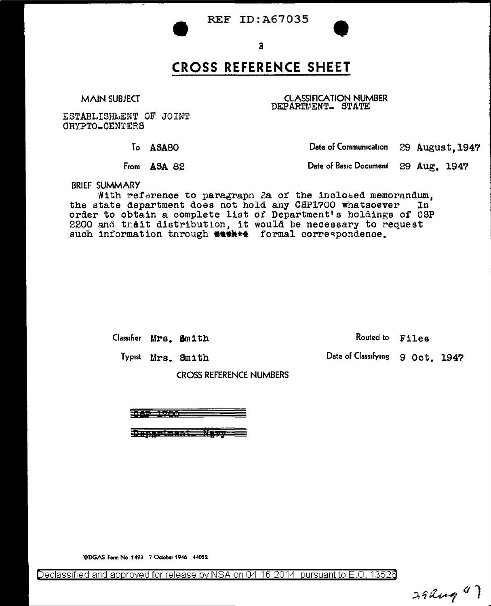



## **CROSS REFERENCE SHEET**

**MAIN SUBJECT** 

**CLASSIFICATION NUMBER** DEPARTMENT\_ STATE

ESTABLISHMENT OF JOINT CRYPTO\_CENTERS

To ASA80

From ASA 82

Date of Communication 29 August, 1947

Date of Basic Document 29 Aug. 1947

**BRIEF SUMMARY** 

With reference to paragraph 2a of the inclosed memorandum. the state department does not hold any CSP1700 whatsoever In order to obtain a complete list of Department's holdings of CSP 2200 and theit distribution, it would be necessary to request such information through \*\*\*\*\* formal correspondence.

Classifier Mrs. Smith

Routed to Files

Date of Classifying 9 Oct. 1947

Typist Mrs. Smith

**CROSS REFERENCE NUMBERS** 

187 1700 T

Dapartment. Navy

WDGAS Form No 1493 7 October 1946 44052

Declassified and approved for release by NSA on 04-16-2014 pursuant to E.O. 13526

 $39$  ang  $4)$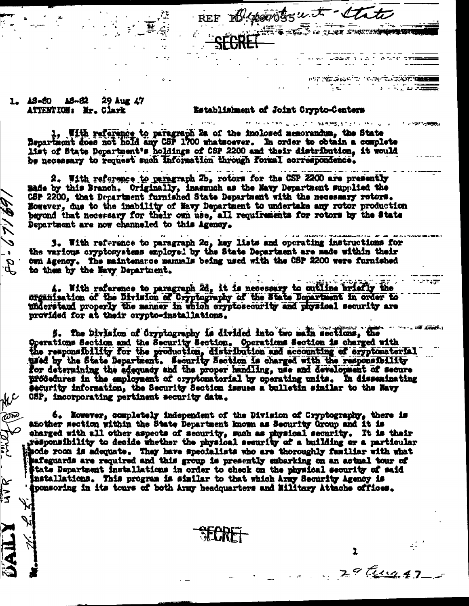REF El provitosuit late O REGIS IN TENNE SURFICIONAL CON

more common as an international property with a state

**ANTISTICATION CONTRACTORY THE** 

in a chuidh ann

e sakon.<br>Televizio

1

 $2901142$ 

1. AS-60 AS-82 29 Aug 47 ATTENTION: Mr. Clark

GB / T / ES

ANC

ת הוי השו<br>היית

بمبز

|<br>∑¦

## Establishment of Joint Crypto-Centers

1. With reference to paragraph 2a of the inclosed memorandum, the State Department does not hold any CSP 1700 whatsoever. In order to obtain a complete list of State Department's holdings of CSP 2200 and their distribution, it would be necessary to request such information through formal correspondence.

2. With reference to paragraph 2b, rotors for the CSP 2200 are presently made by this Branch. Originally, inasmuch as the Navy Department supplied the CSP 2200, that Department furnished State Department with the necessary rotors. However, due to the inability of Mavy Department to undertake any rotor production beyond that necessary for their own use, all requirements for rotors by the State Department are now channeled to this Agency.

والمعاهدات 3. With reference to paragraph 2c, key lists and operating instructions for the various oryptosystems employed by the State Department are made within their twi Agency. The maintenarce manuals being used with the CSP 2200 were furnished to them by the Navy Department.

4. With reference to paragraph 2d, it is necessary to cutline briefly the organisation of the Division of Cryptography of the State Department in order to understand properly the manner in which cryptosecurity and physical security are provided for at their crypto-installations.

**Constitution** 5. The Division of Cryptography is divided into two main sections, the Operations Section and the Security Section. Operations Section is charged with<br>the responsibility for the production, distribution and accounting of eryptomaterial used by the State Department. Security Section is charged with the responsibility for determining the adequacy and the proper handling, use and development of secure procedures in the employment of cryptomatorial by operating units. In disseminating security information, the Security Section issues a bulletin similar to the Havy CSP, incorporating pertinent security data.

6. However, completely independent of the Division of Cryptography, there is another section within the State Department known as Security Group and it is charged with all other aspects of security, such as physical security. It is their responsibility to decide whether the physical security of a building or a particular sode room is adequate. They have specialists who are thoroughly familiar with what safeguards are required and this group is presently embarking on an actual tour of itate Department installations in order to check on the physical security of said installations. This program is similar to that which Army Security Agency is 'Sponsoring in its tours of both Army headquarters and Hilltary Attache offices.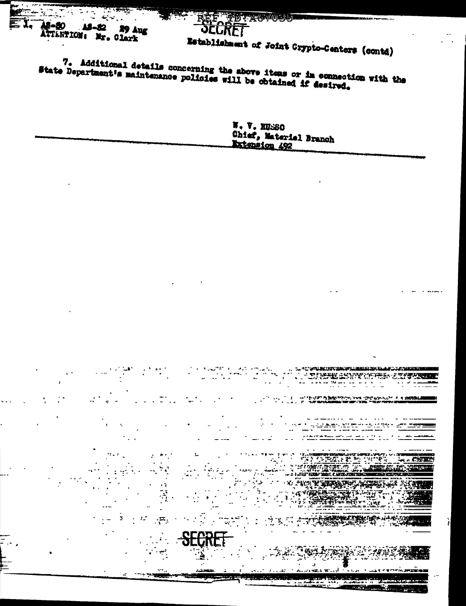18-80 18-82 29 Aug ATTENTION: Nr. Clark

Establishment of Joint Crypto-Centers (contd)

TD TAGWORD,

7. Additional details concerning the above items or in connection with the State Department's maintenance policies will be obtained if desired.

الم التحرير و.<br>المريد التحرير

r G

 $\cdot \mathbf{H}$ .

SECRET

N. V. KUSSO Chief, Materiel Branch Extension 492

and a state of the state of the state of the state of the state of the state of the state of the state of the<br>The state of the state of the state of the state of the state of the state of the state of the state of the st

.<br>1942 <del>- Mari</del> Martin Martin

TRA PARA LA PARTE

n.<br>Tanzania

أأنيت ويعجب

÷.

 $\kappa$  . (STRP)